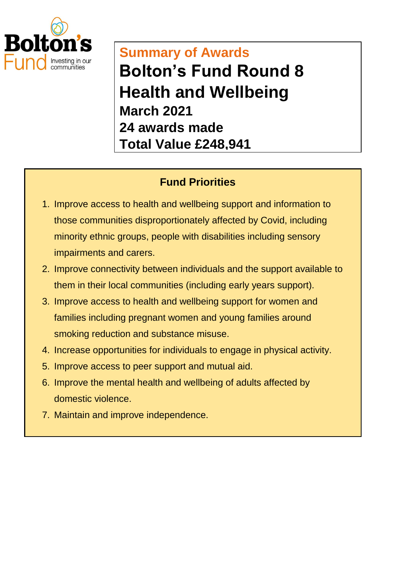

## **Summary of Awards Bolton's Fund Round 8 Health and Wellbeing March 2021 24 awards made Total Value £248,941**

## **Fund Priorities**

- 1. Improve access to health and wellbeing support and information to those communities disproportionately affected by Covid, including minority ethnic groups, people with disabilities including sensory impairments and carers.
- 2. Improve connectivity between individuals and the support available to them in their local communities (including early years support).
- 3. Improve access to health and wellbeing support for women and families including pregnant women and young families around smoking reduction and substance misuse.
- 4. Increase opportunities for individuals to engage in physical activity.
- 5. Improve access to peer support and mutual aid.
- 6. Improve the mental health and wellbeing of adults affected by domestic violence.
- 7. Maintain and improve independence.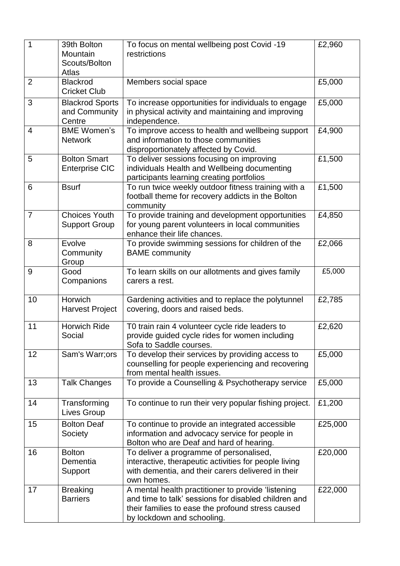| 1              | 39th Bolton<br>Mountain<br>Scouts/Bolton<br>Atlas | To focus on mental wellbeing post Covid -19<br>restrictions                                                                                                                                   | £2,960  |
|----------------|---------------------------------------------------|-----------------------------------------------------------------------------------------------------------------------------------------------------------------------------------------------|---------|
| $\overline{2}$ | <b>Blackrod</b><br><b>Cricket Club</b>            | Members social space                                                                                                                                                                          | £5,000  |
| 3              | <b>Blackrod Sports</b><br>and Community<br>Centre | To increase opportunities for individuals to engage<br>in physical activity and maintaining and improving<br>independence.                                                                    | £5,000  |
| $\overline{4}$ | <b>BME Women's</b><br><b>Network</b>              | To improve access to health and wellbeing support<br>and information to those communities<br>disproportionately affected by Covid.                                                            | £4,900  |
| 5              | <b>Bolton Smart</b><br><b>Enterprise CIC</b>      | To deliver sessions focusing on improving<br>individuals Health and Wellbeing documenting<br>participants learning creating portfolios                                                        | £1,500  |
| 6              | <b>Bsurf</b>                                      | To run twice weekly outdoor fitness training with a<br>football theme for recovery addicts in the Bolton<br>community                                                                         | £1,500  |
| $\overline{7}$ | <b>Choices Youth</b><br><b>Support Group</b>      | To provide training and development opportunities<br>for young parent volunteers in local communities<br>enhance their life chances.                                                          | £4,850  |
| 8              | Evolve<br>Community<br>Group                      | To provide swimming sessions for children of the<br><b>BAME</b> community                                                                                                                     | £2,066  |
| 9              | Good<br>Companions                                | To learn skills on our allotments and gives family<br>carers a rest.                                                                                                                          | £5,000  |
| 10             | Horwich<br><b>Harvest Project</b>                 | Gardening activities and to replace the polytunnel<br>covering, doors and raised beds.                                                                                                        | £2,785  |
| 11             | <b>Horwich Ride</b><br>Social                     | T0 train rain 4 volunteer cycle ride leaders to<br>provide guided cycle rides for women including<br>Sofa to Saddle courses.                                                                  | £2,620  |
| 12             | Sam's Warr;ors                                    | To develop their services by providing access to<br>counselling for people experiencing and recovering<br>from mental health issues.                                                          | £5,000  |
| 13             | <b>Talk Changes</b>                               | To provide a Counselling & Psychotherapy service                                                                                                                                              | £5,000  |
| 14             | Transforming<br>Lives Group                       | To continue to run their very popular fishing project.                                                                                                                                        | £1,200  |
| 15             | <b>Bolton Deaf</b><br>Society                     | To continue to provide an integrated accessible<br>information and advocacy service for people in<br>Bolton who are Deaf and hard of hearing.                                                 | £25,000 |
| 16             | <b>Bolton</b><br>Dementia<br>Support              | To deliver a programme of personalised,<br>interactive, therapeutic activities for people living<br>with dementia, and their carers delivered in their<br>own homes.                          | £20,000 |
| 17             | <b>Breaking</b><br><b>Barriers</b>                | A mental health practitioner to provide 'listening<br>and time to talk' sessions for disabled children and<br>their families to ease the profound stress caused<br>by lockdown and schooling. | £22,000 |